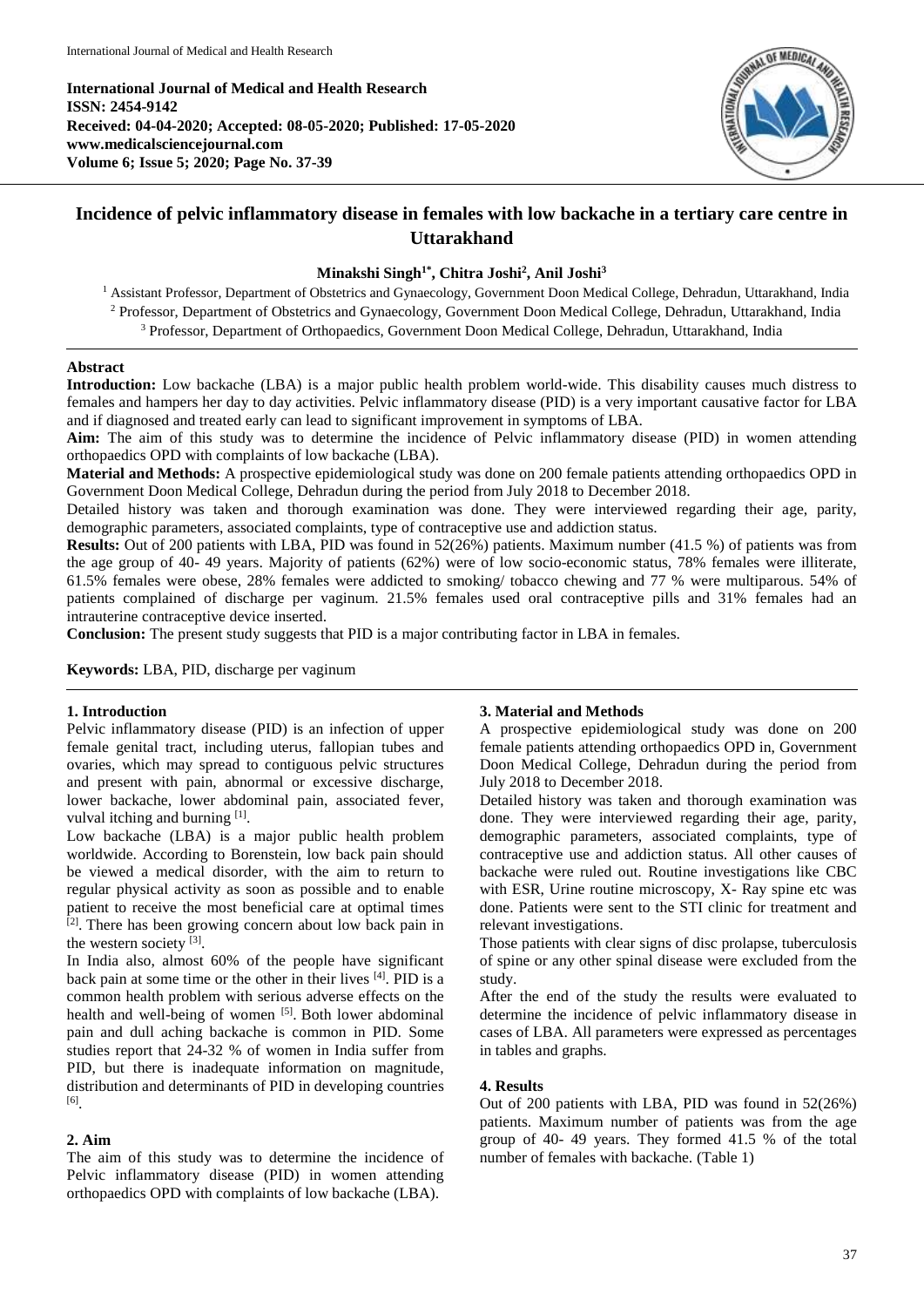**International Journal of Medical and Health Research ISSN: 2454-9142 Received: 04-04-2020; Accepted: 08-05-2020; Published: 17-05-2020 www.medicalsciencejournal.com Volume 6; Issue 5; 2020; Page No. 37-39**



# **Incidence of pelvic inflammatory disease in females with low backache in a tertiary care centre in Uttarakhand**

# **Minakshi Singh1\* , Chitra Joshi<sup>2</sup> , Anil Joshi<sup>3</sup>**

<sup>1</sup> Assistant Professor, Department of Obstetrics and Gynaecology, Government Doon Medical College, Dehradun, Uttarakhand, India <sup>2</sup> Professor, Department of Obstetrics and Gynaecology, Government Doon Medical College, Dehradun, Uttarakhand, India <sup>3</sup> Professor, Department of Orthopaedics, Government Doon Medical College, Dehradun, Uttarakhand, India

#### **Abstract**

**Introduction:** Low backache (LBA) is a major public health problem world-wide. This disability causes much distress to females and hampers her day to day activities. Pelvic inflammatory disease (PID) is a very important causative factor for LBA and if diagnosed and treated early can lead to significant improvement in symptoms of LBA.

**Aim:** The aim of this study was to determine the incidence of Pelvic inflammatory disease (PID) in women attending orthopaedics OPD with complaints of low backache (LBA).

**Material and Methods:** A prospective epidemiological study was done on 200 female patients attending orthopaedics OPD in Government Doon Medical College, Dehradun during the period from July 2018 to December 2018.

Detailed history was taken and thorough examination was done. They were interviewed regarding their age, parity, demographic parameters, associated complaints, type of contraceptive use and addiction status.

**Results:** Out of 200 patients with LBA, PID was found in 52(26%) patients. Maximum number (41.5 %) of patients was from the age group of 40- 49 years. Majority of patients (62%) were of low socio-economic status, 78% females were illiterate, 61.5% females were obese, 28% females were addicted to smoking/ tobacco chewing and 77 % were multiparous. 54% of patients complained of discharge per vaginum. 21.5% females used oral contraceptive pills and 31% females had an intrauterine contraceptive device inserted.

**Conclusion:** The present study suggests that PID is a major contributing factor in LBA in females.

**Keywords:** LBA, PID, discharge per vaginum

## **1. Introduction**

Pelvic inflammatory disease (PID) is an infection of upper female genital tract, including uterus, fallopian tubes and ovaries, which may spread to contiguous pelvic structures and present with pain, abnormal or excessive discharge, lower backache, lower abdominal pain, associated fever, vulval itching and burning [1].

Low backache (LBA) is a major public health problem worldwide. According to Borenstein, low back pain should be viewed a medical disorder, with the aim to return to regular physical activity as soon as possible and to enable patient to receive the most beneficial care at optimal times <sup>[2]</sup>. There has been growing concern about low back pain in the western society  $^{[3]}$ .

In India also, almost 60% of the people have significant back pain at some time or the other in their lives [4]. PID is a common health problem with serious adverse effects on the health and well-being of women [5]. Both lower abdominal pain and dull aching backache is common in PID. Some studies report that 24-32 % of women in India suffer from PID, but there is inadequate information on magnitude, distribution and determinants of PID in developing countries [6] .

#### **2. Aim**

The aim of this study was to determine the incidence of Pelvic inflammatory disease (PID) in women attending orthopaedics OPD with complaints of low backache (LBA).

## **3. Material and Methods**

A prospective epidemiological study was done on 200 female patients attending orthopaedics OPD in, Government Doon Medical College, Dehradun during the period from July 2018 to December 2018.

Detailed history was taken and thorough examination was done. They were interviewed regarding their age, parity, demographic parameters, associated complaints, type of contraceptive use and addiction status. All other causes of backache were ruled out. Routine investigations like CBC with ESR, Urine routine microscopy, X- Ray spine etc was done. Patients were sent to the STI clinic for treatment and relevant investigations.

Those patients with clear signs of disc prolapse, tuberculosis of spine or any other spinal disease were excluded from the study.

After the end of the study the results were evaluated to determine the incidence of pelvic inflammatory disease in cases of LBA. All parameters were expressed as percentages in tables and graphs.

# **4. Results**

Out of 200 patients with LBA, PID was found in 52(26%) patients. Maximum number of patients was from the age group of 40- 49 years. They formed 41.5 % of the total number of females with backache. (Table 1)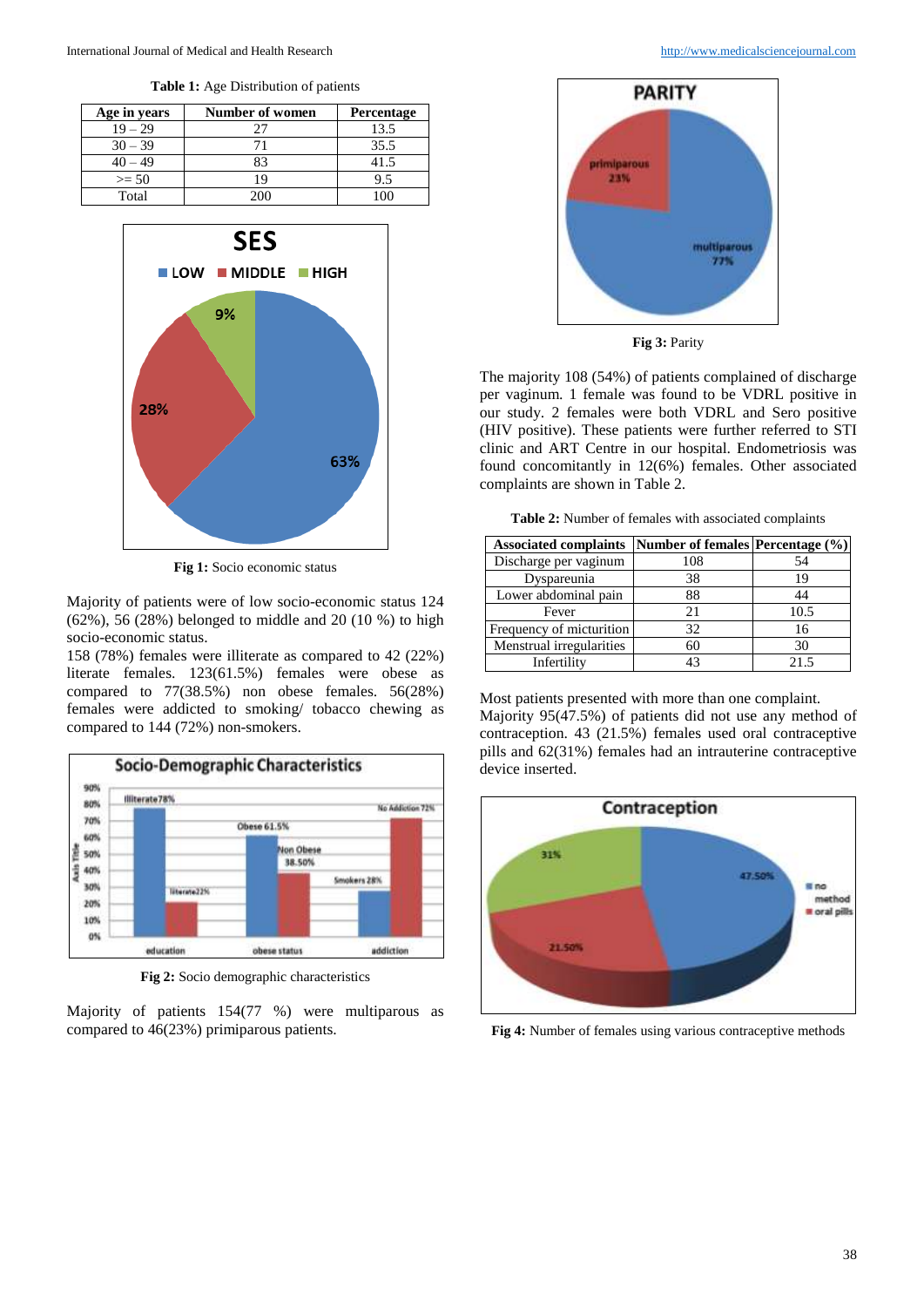**Table 1:** Age Distribution of patients

| Age in years | Number of women | <b>Percentage</b> |
|--------------|-----------------|-------------------|
| $19 - 29$    |                 | 13.5              |
| $30 - 39$    |                 | 35.5              |
| $40 - 49$    | 83              | 41.5              |
| $>= 50$      | 19              | 9.5               |
| Total        | 200             |                   |



**Fig 1:** Socio economic status

Majority of patients were of low socio-economic status 124 (62%), 56 (28%) belonged to middle and 20 (10 %) to high socio-economic status.

158 (78%) females were illiterate as compared to 42 (22%) literate females. 123(61.5%) females were obese as compared to 77(38.5%) non obese females. 56(28%) females were addicted to smoking/ tobacco chewing as compared to 144 (72%) non-smokers.



**Fig 2:** Socio demographic characteristics

Majority of patients 154(77 %) were multiparous as compared to 46(23%) primiparous patients.



**Fig 3:** Parity

The majority 108 (54%) of patients complained of discharge per vaginum. 1 female was found to be VDRL positive in our study. 2 females were both VDRL and Sero positive (HIV positive). These patients were further referred to STI clinic and ART Centre in our hospital. Endometriosis was found concomitantly in 12(6%) females. Other associated complaints are shown in Table 2.

**Table 2:** Number of females with associated complaints

| <b>Associated complaints</b> | Number of females Percentage (%) |      |
|------------------------------|----------------------------------|------|
| Discharge per vaginum        | 108                              | 54   |
| Dyspareunia                  | 38                               | 19   |
| Lower abdominal pain         | 88                               | 44   |
| Fever                        | 21                               | 10.5 |
| Frequency of micturition     | 32                               | 16   |
| Menstrual irregularities     | 60                               | 30   |
| Infertility                  | 43                               | 21.5 |

Most patients presented with more than one complaint.

Majority 95(47.5%) of patients did not use any method of contraception. 43 (21.5%) females used oral contraceptive pills and 62(31%) females had an intrauterine contraceptive device inserted.



**Fig 4:** Number of females using various contraceptive methods